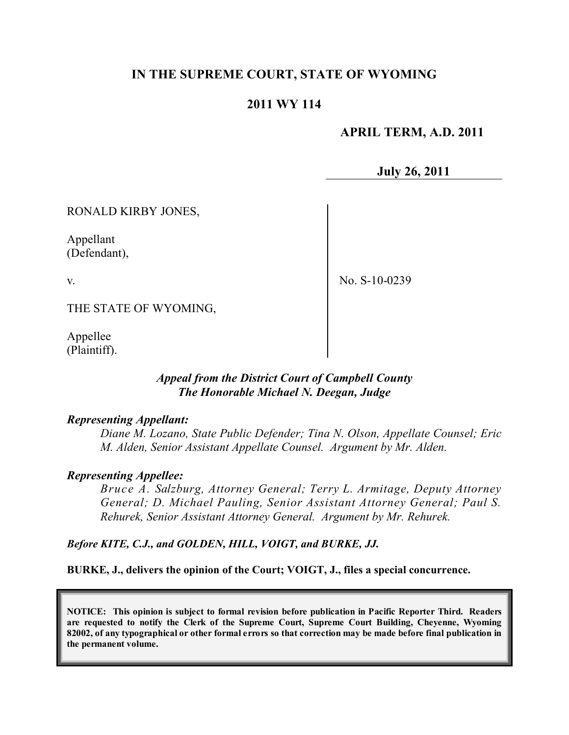# **IN THE SUPREME COURT, STATE OF WYOMING**

#### **2011 WY 114**

#### **APRIL TERM, A.D. 2011**

**July 26, 2011**

RONALD KIRBY JONES,

Appellant (Defendant),

v.

No. S-10-0239

THE STATE OF WYOMING,

Appellee (Plaintiff).

#### *Appeal from the District Court of Campbell County The Honorable Michael N. Deegan, Judge*

#### *Representing Appellant:*

*Diane M. Lozano, State Public Defender; Tina N. Olson, Appellate Counsel; Eric M. Alden, Senior Assistant Appellate Counsel. Argument by Mr. Alden.*

#### *Representing Appellee:*

*Bruce A. Salzburg, Attorney General; Terry L. Armitage, Deputy Attorney General; D. Michael Pauling, Senior Assistant Attorney General; Paul S. Rehurek, Senior Assistant Attorney General. Argument by Mr. Rehurek.*

*Before KITE, C.J., and GOLDEN, HILL, VOIGT, and BURKE, JJ.*

**BURKE, J., delivers the opinion of the Court; VOIGT, J., files a special concurrence.**

**NOTICE: This opinion is subject to formal revision before publication in Pacific Reporter Third. Readers are requested to notify the Clerk of the Supreme Court, Supreme Court Building, Cheyenne, Wyoming** 82002, of any typographical or other formal errors so that correction may be made before final publication in **the permanent volume.**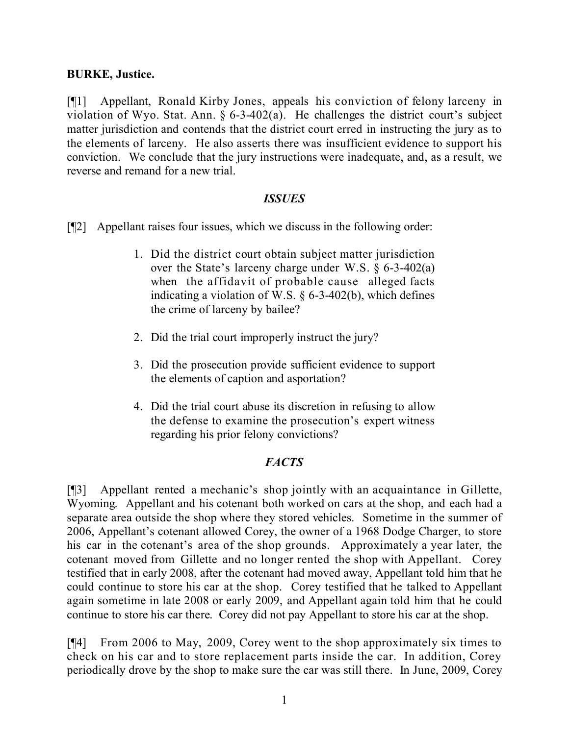#### **BURKE, Justice.**

[¶1] Appellant, Ronald Kirby Jones, appeals his conviction of felony larceny in violation of Wyo. Stat. Ann.  $\S 6-3-402(a)$ . He challenges the district court's subject matter jurisdiction and contends that the district court erred in instructing the jury as to the elements of larceny. He also asserts there was insufficient evidence to support his conviction. We conclude that the jury instructions were inadequate, and, as a result, we reverse and remand for a new trial.

#### *ISSUES*

- [¶2] Appellant raises four issues, which we discuss in the following order:
	- 1. Did the district court obtain subject matter jurisdiction over the State's larceny charge under W.S. § 6-3-402(a) when the affidavit of probable cause alleged facts indicating a violation of W.S. § 6-3-402(b), which defines the crime of larceny by bailee?
	- 2. Did the trial court improperly instruct the jury?
	- 3. Did the prosecution provide sufficient evidence to support the elements of caption and asportation?
	- 4. Did the trial court abuse its discretion in refusing to allow the defense to examine the prosecution's expert witness regarding his prior felony convictions?

## *FACTS*

[¶3] Appellant rented a mechanic's shop jointly with an acquaintance in Gillette, Wyoming. Appellant and his cotenant both worked on cars at the shop, and each had a separate area outside the shop where they stored vehicles. Sometime in the summer of 2006, Appellant's cotenant allowed Corey, the owner of a 1968 Dodge Charger, to store his car in the cotenant's area of the shop grounds. Approximately a year later, the cotenant moved from Gillette and no longer rented the shop with Appellant. Corey testified that in early 2008, after the cotenant had moved away, Appellant told him that he could continue to store his car at the shop. Corey testified that he talked to Appellant again sometime in late 2008 or early 2009, and Appellant again told him that he could continue to store his car there. Corey did not pay Appellant to store his car at the shop.

[¶4] From 2006 to May, 2009, Corey went to the shop approximately six times to check on his car and to store replacement parts inside the car. In addition, Corey periodically drove by the shop to make sure the car was still there. In June, 2009, Corey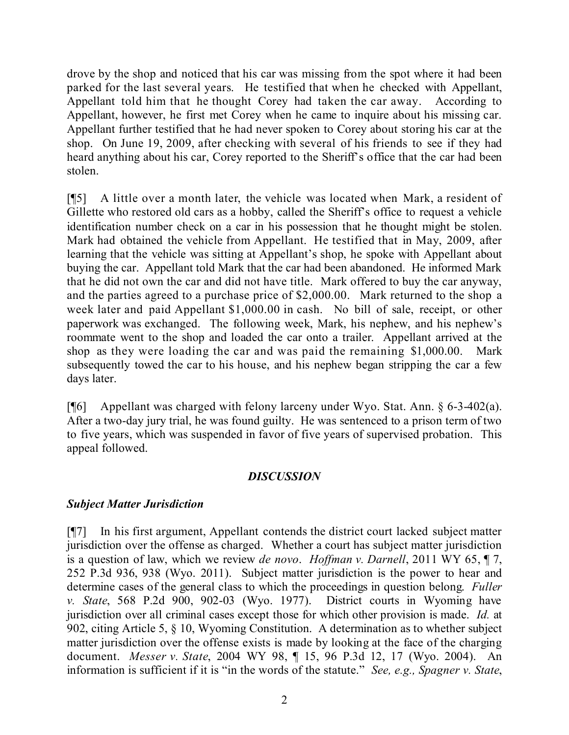drove by the shop and noticed that his car was missing from the spot where it had been parked for the last several years. He testified that when he checked with Appellant, Appellant told him that he thought Corey had taken the car away. According to Appellant, however, he first met Corey when he came to inquire about his missing car. Appellant further testified that he had never spoken to Corey about storing his car at the shop. On June 19, 2009, after checking with several of his friends to see if they had heard anything about his car, Corey reported to the Sheriff's office that the car had been stolen.

[¶5] A little over a month later, the vehicle was located when Mark, a resident of Gillette who restored old cars as a hobby, called the Sheriff's office to request a vehicle identification number check on a car in his possession that he thought might be stolen. Mark had obtained the vehicle from Appellant. He testified that in May, 2009, after learning that the vehicle was sitting at Appellant's shop, he spoke with Appellant about buying the car. Appellant told Mark that the car had been abandoned. He informed Mark that he did not own the car and did not have title. Mark offered to buy the car anyway, and the parties agreed to a purchase price of \$2,000.00. Mark returned to the shop a week later and paid Appellant \$1,000.00 in cash. No bill of sale, receipt, or other paperwork was exchanged. The following week, Mark, his nephew, and his nephew's roommate went to the shop and loaded the car onto a trailer. Appellant arrived at the shop as they were loading the car and was paid the remaining \$1,000.00. Mark subsequently towed the car to his house, and his nephew began stripping the car a few days later.

[¶6] Appellant was charged with felony larceny under Wyo. Stat. Ann. § 6-3-402(a). After a two-day jury trial, he was found guilty. He was sentenced to a prison term of two to five years, which was suspended in favor of five years of supervised probation. This appeal followed.

## *DISCUSSION*

## *Subject Matter Jurisdiction*

[¶7] In his first argument, Appellant contends the district court lacked subject matter jurisdiction over the offense as charged. Whether a court has subject matter jurisdiction is a question of law, which we review *de novo*. *Hoffman v. Darnell*, 2011 WY 65, ¶ 7, 252 P.3d 936, 938 (Wyo. 2011). Subject matter jurisdiction is the power to hear and determine cases of the general class to which the proceedings in question belong. *Fuller v. State*, 568 P.2d 900, 902-03 (Wyo. 1977). District courts in Wyoming have jurisdiction over all criminal cases except those for which other provision is made. *Id.* at 902, citing Article 5, § 10, Wyoming Constitution. A determination as to whether subject matter jurisdiction over the offense exists is made by looking at the face of the charging document. *Messer v. State*, 2004 WY 98, ¶ 15, 96 P.3d 12, 17 (Wyo. 2004). An information is sufficient if it is "in the words of the statute." *See, e.g., Spagner v. State*,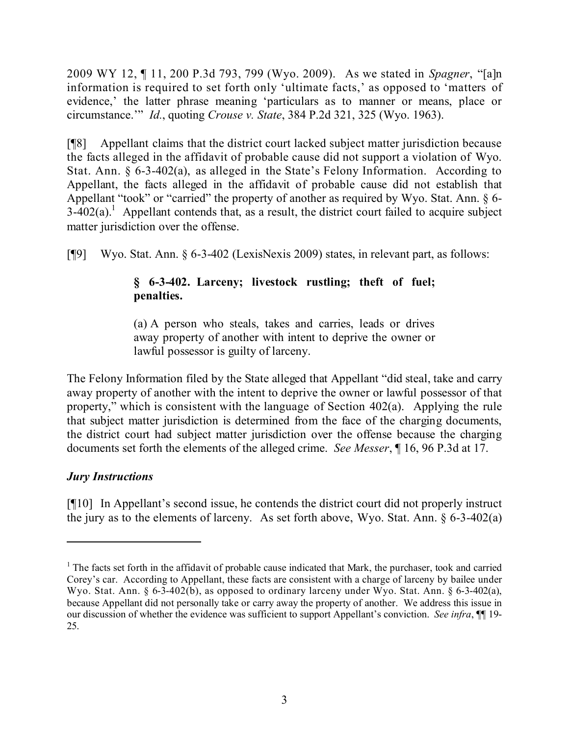2009 WY 12, ¶ 11, 200 P.3d 793, 799 (Wyo. 2009). As we stated in *Spagner*, "[a]n information is required to set forth only 'ultimate facts,' as opposed to 'matters of evidence,' the latter phrase meaning 'particulars as to manner or means, place or circumstance.'" *Id.*, quoting *Crouse v. State*, 384 P.2d 321, 325 (Wyo. 1963).

[¶8] Appellant claims that the district court lacked subject matter jurisdiction because the facts alleged in the affidavit of probable cause did not support a violation of Wyo. Stat. Ann. § 6-3-402(a), as alleged in the State's Felony Information. According to Appellant, the facts alleged in the affidavit of probable cause did not establish that Appellant "took" or "carried" the property of another as required by Wyo. Stat. Ann. § 6-  $3-402(a)$ .<sup>1</sup> Appellant contends that, as a result, the district court failed to acquire subject matter jurisdiction over the offense.

[¶9] Wyo. Stat. Ann. § 6-3-402 (LexisNexis 2009) states, in relevant part, as follows:

# **§ 6-3-402. Larceny; livestock rustling; theft of fuel; penalties.**

(a) A person who steals, takes and carries, leads or drives away property of another with intent to deprive the owner or lawful possessor is guilty of larceny.

The Felony Information filed by the State alleged that Appellant "did steal, take and carry away property of another with the intent to deprive the owner or lawful possessor of that property," which is consistent with the language of Section 402(a). Applying the rule that subject matter jurisdiction is determined from the face of the charging documents, the district court had subject matter jurisdiction over the offense because the charging documents set forth the elements of the alleged crime. *See Messer*, ¶ 16, 96 P.3d at 17.

# *Jury Instructions*

[¶10] In Appellant's second issue, he contends the district court did not properly instruct the jury as to the elements of larceny. As set forth above, Wyo. Stat. Ann. § 6-3-402(a)

<sup>&</sup>lt;sup>1</sup> The facts set forth in the affidavit of probable cause indicated that Mark, the purchaser, took and carried Corey's car. According to Appellant, these facts are consistent with a charge of larceny by bailee under Wyo. Stat. Ann. § 6-3-402(b), as opposed to ordinary larceny under Wyo. Stat. Ann. § 6-3-402(a), because Appellant did not personally take or carry away the property of another. We address this issue in our discussion of whether the evidence was sufficient to support Appellant's conviction. *See infra*, ¶¶ 19- 25.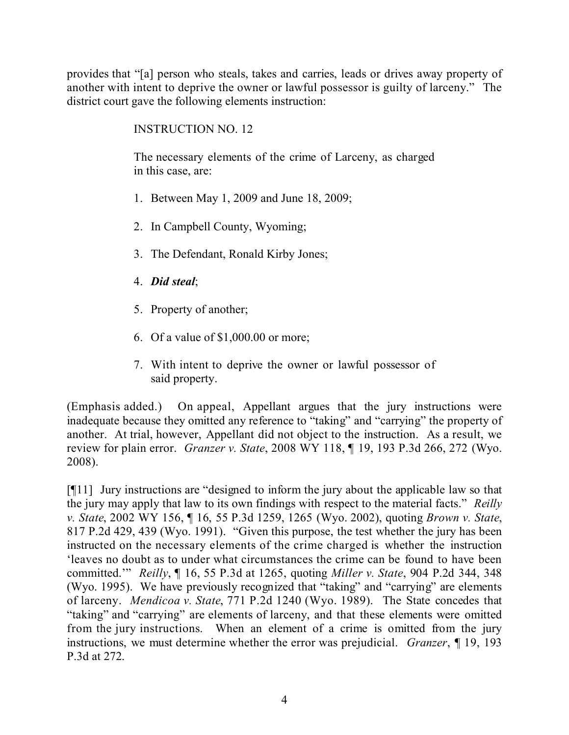provides that "[a] person who steals, takes and carries, leads or drives away property of another with intent to deprive the owner or lawful possessor is guilty of larceny." The district court gave the following elements instruction:

# INSTRUCTION NO. 12

The necessary elements of the crime of Larceny, as charged in this case, are:

- 1. Between May 1, 2009 and June 18, 2009;
- 2. In Campbell County, Wyoming;
- 3. The Defendant, Ronald Kirby Jones;
- 4. *Did steal*;
- 5. Property of another;
- 6. Of a value of \$1,000.00 or more;
- 7. With intent to deprive the owner or lawful possessor of said property.

(Emphasis added.) On appeal, Appellant argues that the jury instructions were inadequate because they omitted any reference to "taking" and "carrying" the property of another. At trial, however, Appellant did not object to the instruction. As a result, we review for plain error. *Granzer v. State*, 2008 WY 118, ¶ 19, 193 P.3d 266, 272 (Wyo. 2008).

[¶11] Jury instructions are "designed to inform the jury about the applicable law so that the jury may apply that law to its own findings with respect to the material facts." *Reilly v. State*, 2002 WY 156, ¶ 16, 55 P.3d 1259, 1265 (Wyo. 2002), quoting *Brown v. State*, 817 P.2d 429, 439 (Wyo. 1991). "Given this purpose, the test whether the jury has been instructed on the necessary elements of the crime charged is whether the instruction 'leaves no doubt as to under what circumstances the crime can be found to have been committed.'" *Reilly*, ¶ 16, 55 P.3d at 1265, quoting *Miller v. State*, 904 P.2d 344, 348 (Wyo. 1995). We have previously recognized that "taking" and "carrying" are elements of larceny. *Mendicoa v. State*, 771 P.2d 1240 (Wyo. 1989). The State concedes that "taking" and "carrying" are elements of larceny, and that these elements were omitted from the jury instructions. When an element of a crime is omitted from the jury instructions, we must determine whether the error was prejudicial. *Granzer*, ¶ 19, 193 P.3d at 272.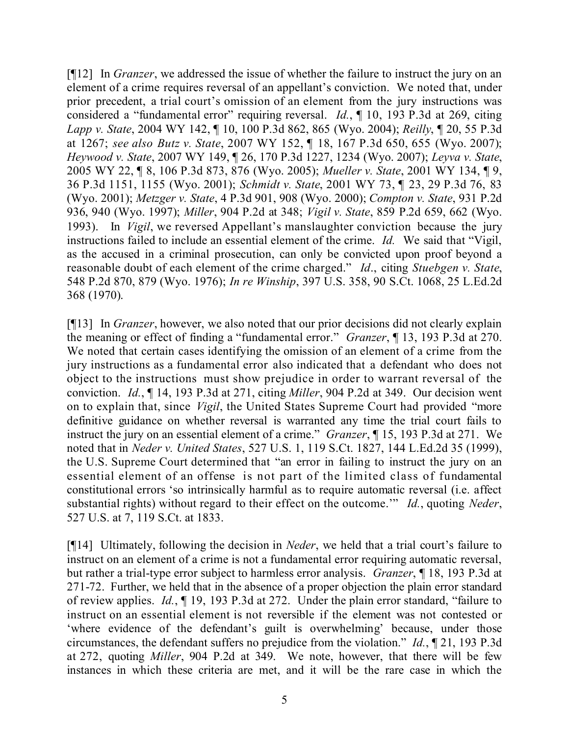[¶12] In *Granzer*, we addressed the issue of whether the failure to instruct the jury on an element of a crime requires reversal of an appellant's conviction. We noted that, under prior precedent, a trial court's omission of an element from the jury instructions was considered a "fundamental error" requiring reversal. *Id.*, ¶ 10, 193 P.3d at 269, citing *Lapp v. State*, 2004 WY 142, ¶ 10, 100 P.3d 862, 865 (Wyo. 2004); *Reilly*, ¶ 20, 55 P.3d at 1267; *see also Butz v. State*, 2007 WY 152, ¶ 18, 167 P.3d 650, 655 (Wyo. 2007); *Heywood v. State*, 2007 WY 149, ¶ 26, 170 P.3d 1227, 1234 (Wyo. 2007); *Leyva v. State*, 2005 WY 22, ¶ 8, 106 P.3d 873, 876 (Wyo. 2005); *Mueller v. State*, 2001 WY 134, ¶ 9, 36 P.3d 1151, 1155 (Wyo. 2001); *Schmidt v. State*, 2001 WY 73, ¶ 23, 29 P.3d 76, 83 (Wyo. 2001); *Metzger v. State*, 4 P.3d 901, 908 (Wyo. 2000); *Compton v. State*, 931 P.2d 936, 940 (Wyo. 1997); *Miller*, 904 P.2d at 348; *Vigil v. State*, 859 P.2d 659, 662 (Wyo. 1993). In *Vigil*, we reversed Appellant's manslaughter conviction because the jury instructions failed to include an essential element of the crime. *Id.* We said that "Vigil, as the accused in a criminal prosecution, can only be convicted upon proof beyond a reasonable doubt of each element of the crime charged." *Id*., citing *Stuebgen v. State*, 548 P.2d 870, 879 (Wyo. 1976); *In re Winship*, 397 U.S. 358, 90 S.Ct. 1068, 25 L.Ed.2d 368 (1970).

[¶13] In *Granzer*, however, we also noted that our prior decisions did not clearly explain the meaning or effect of finding a "fundamental error." *Granzer*, ¶ 13, 193 P.3d at 270. We noted that certain cases identifying the omission of an element of a crime from the jury instructions as a fundamental error also indicated that a defendant who does not object to the instructions must show prejudice in order to warrant reversal of the conviction. *Id.*, ¶ 14, 193 P.3d at 271, citing *Miller*, 904 P.2d at 349. Our decision went on to explain that, since *Vigil*, the United States Supreme Court had provided "more definitive guidance on whether reversal is warranted any time the trial court fails to instruct the jury on an essential element of a crime." *Granzer*, ¶ 15, 193 P.3d at 271. We noted that in *Neder v. United States*, 527 U.S. 1, 119 S.Ct. 1827, 144 L.Ed.2d 35 (1999), the U.S. Supreme Court determined that "an error in failing to instruct the jury on an essential element of an offense is not part of the limited class of fundamental constitutional errors 'so intrinsically harmful as to require automatic reversal (i.e. affect substantial rights) without regard to their effect on the outcome.'" *Id.*, quoting *Neder*, 527 U.S. at 7, 119 S.Ct. at 1833.

[¶14] Ultimately, following the decision in *Neder*, we held that a trial court's failure to instruct on an element of a crime is not a fundamental error requiring automatic reversal, but rather a trial-type error subject to harmless error analysis. *Granzer*, ¶ 18, 193 P.3d at 271-72. Further, we held that in the absence of a proper objection the plain error standard of review applies. *Id.*, ¶ 19, 193 P.3d at 272. Under the plain error standard, "failure to instruct on an essential element is not reversible if the element was not contested or 'where evidence of the defendant's guilt is overwhelming' because, under those circumstances, the defendant suffers no prejudice from the violation." *Id.*, ¶ 21, 193 P.3d at 272, quoting *Miller*, 904 P.2d at 349. We note, however, that there will be few instances in which these criteria are met, and it will be the rare case in which the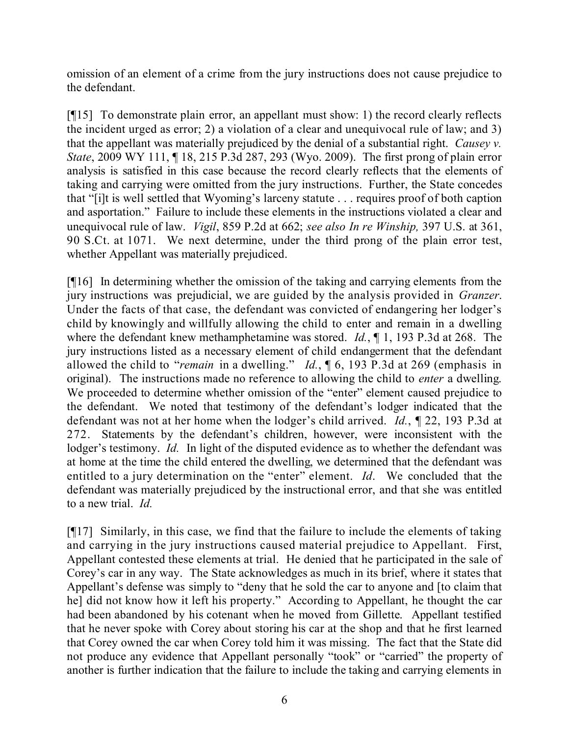omission of an element of a crime from the jury instructions does not cause prejudice to the defendant.

[¶15] To demonstrate plain error, an appellant must show: 1) the record clearly reflects the incident urged as error; 2) a violation of a clear and unequivocal rule of law; and 3) that the appellant was materially prejudiced by the denial of a substantial right. *Causey v. State*, 2009 WY 111, ¶ 18, 215 P.3d 287, 293 (Wyo. 2009). The first prong of plain error analysis is satisfied in this case because the record clearly reflects that the elements of taking and carrying were omitted from the jury instructions. Further, the State concedes that "[i]t is well settled that Wyoming's larceny statute . . . requires proof of both caption and asportation." Failure to include these elements in the instructions violated a clear and unequivocal rule of law. *Vigil*, 859 P.2d at 662; *see also In re Winship,* 397 U.S. at 361, 90 S.Ct. at 1071. We next determine, under the third prong of the plain error test, whether Appellant was materially prejudiced.

[¶16] In determining whether the omission of the taking and carrying elements from the jury instructions was prejudicial, we are guided by the analysis provided in *Granzer*. Under the facts of that case, the defendant was convicted of endangering her lodger's child by knowingly and willfully allowing the child to enter and remain in a dwelling where the defendant knew methamphetamine was stored. *Id.*, ¶ 1, 193 P.3d at 268. The jury instructions listed as a necessary element of child endangerment that the defendant allowed the child to "*remain* in a dwelling." *Id.*, ¶ 6, 193 P.3d at 269 (emphasis in original). The instructions made no reference to allowing the child to *enter* a dwelling. We proceeded to determine whether omission of the "enter" element caused prejudice to the defendant. We noted that testimony of the defendant's lodger indicated that the defendant was not at her home when the lodger's child arrived. *Id.*, ¶ 22, 193 P.3d at 272. Statements by the defendant's children, however, were inconsistent with the lodger's testimony. *Id.* In light of the disputed evidence as to whether the defendant was at home at the time the child entered the dwelling, we determined that the defendant was entitled to a jury determination on the "enter" element. *Id*. We concluded that the defendant was materially prejudiced by the instructional error, and that she was entitled to a new trial. *Id.*

[¶17] Similarly, in this case, we find that the failure to include the elements of taking and carrying in the jury instructions caused material prejudice to Appellant. First, Appellant contested these elements at trial. He denied that he participated in the sale of Corey's car in any way. The State acknowledges as much in its brief, where it states that Appellant's defense was simply to "deny that he sold the car to anyone and [to claim that he] did not know how it left his property." According to Appellant, he thought the car had been abandoned by his cotenant when he moved from Gillette. Appellant testified that he never spoke with Corey about storing his car at the shop and that he first learned that Corey owned the car when Corey told him it was missing. The fact that the State did not produce any evidence that Appellant personally "took" or "carried" the property of another is further indication that the failure to include the taking and carrying elements in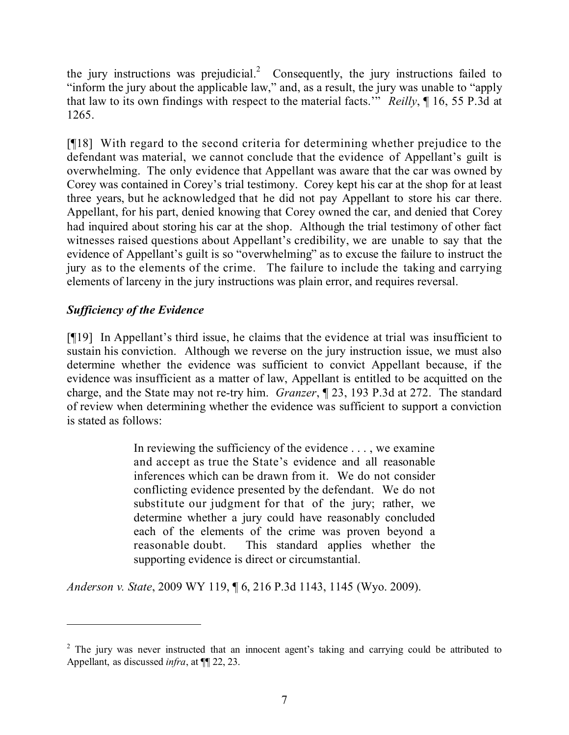the jury instructions was prejudicial.<sup>2</sup> Consequently, the jury instructions failed to "inform the jury about the applicable law," and, as a result, the jury was unable to "apply that law to its own findings with respect to the material facts.'" *Reilly*, ¶ 16, 55 P.3d at 1265.

[¶18] With regard to the second criteria for determining whether prejudice to the defendant was material, we cannot conclude that the evidence of Appellant's guilt is overwhelming. The only evidence that Appellant was aware that the car was owned by Corey was contained in Corey's trial testimony. Corey kept his car at the shop for at least three years, but he acknowledged that he did not pay Appellant to store his car there. Appellant, for his part, denied knowing that Corey owned the car, and denied that Corey had inquired about storing his car at the shop. Although the trial testimony of other fact witnesses raised questions about Appellant's credibility, we are unable to say that the evidence of Appellant's guilt is so "overwhelming" as to excuse the failure to instruct the jury as to the elements of the crime. The failure to include the taking and carrying elements of larceny in the jury instructions was plain error, and requires reversal.

# *Sufficiency of the Evidence*

[¶19] In Appellant's third issue, he claims that the evidence at trial was insufficient to sustain his conviction. Although we reverse on the jury instruction issue, we must also determine whether the evidence was sufficient to convict Appellant because, if the evidence was insufficient as a matter of law, Appellant is entitled to be acquitted on the charge, and the State may not re-try him. *Granzer*, ¶ 23, 193 P.3d at 272. The standard of review when determining whether the evidence was sufficient to support a conviction is stated as follows:

> In reviewing the sufficiency of the evidence . . . , we examine and accept as true the State's evidence and all reasonable inferences which can be drawn from it. We do not consider conflicting evidence presented by the defendant. We do not substitute our judgment for that of the jury; rather, we determine whether a jury could have reasonably concluded each of the elements of the crime was proven beyond a reasonable doubt. This standard applies whether the supporting evidence is direct or circumstantial.

*Anderson v. State*, 2009 WY 119, ¶ 6, 216 P.3d 1143, 1145 (Wyo. 2009).

<sup>&</sup>lt;sup>2</sup> The jury was never instructed that an innocent agent's taking and carrying could be attributed to Appellant, as discussed *infra*, at ¶¶ 22, 23.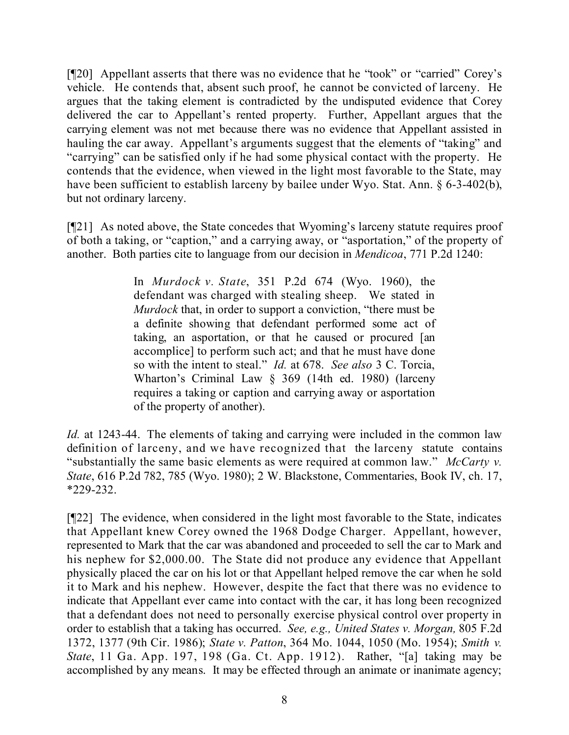[¶20] Appellant asserts that there was no evidence that he "took" or "carried" Corey's vehicle. He contends that, absent such proof, he cannot be convicted of larceny. He argues that the taking element is contradicted by the undisputed evidence that Corey delivered the car to Appellant's rented property. Further, Appellant argues that the carrying element was not met because there was no evidence that Appellant assisted in hauling the car away. Appellant's arguments suggest that the elements of "taking" and "carrying" can be satisfied only if he had some physical contact with the property. He contends that the evidence, when viewed in the light most favorable to the State, may have been sufficient to establish larceny by bailee under Wyo. Stat. Ann. § 6-3-402(b), but not ordinary larceny.

[¶21] As noted above, the State concedes that Wyoming's larceny statute requires proof of both a taking, or "caption," and a carrying away, or "asportation," of the property of another. Both parties cite to language from our decision in *Mendicoa*, 771 P.2d 1240:

> In *Murdock v. State*, 351 P.2d 674 (Wyo. 1960), the defendant was charged with stealing sheep. We stated in *Murdock* that, in order to support a conviction, "there must be a definite showing that defendant performed some act of taking, an asportation, or that he caused or procured [an accomplice] to perform such act; and that he must have done so with the intent to steal." *Id.* at 678. *See also* 3 C. Torcia, Wharton's Criminal Law § 369 (14th ed. 1980) (larceny requires a taking or caption and carrying away or asportation of the property of another).

*Id.* at 1243-44. The elements of taking and carrying were included in the common law definition of larceny, and we have recognized that the larceny statute contains "substantially the same basic elements as were required at common law." *McCarty v. State*, 616 P.2d 782, 785 (Wyo. 1980); 2 W. Blackstone, Commentaries, Book IV, ch. 17, \*229-232.

[¶22] The evidence, when considered in the light most favorable to the State, indicates that Appellant knew Corey owned the 1968 Dodge Charger. Appellant, however, represented to Mark that the car was abandoned and proceeded to sell the car to Mark and his nephew for \$2,000.00. The State did not produce any evidence that Appellant physically placed the car on his lot or that Appellant helped remove the car when he sold it to Mark and his nephew. However, despite the fact that there was no evidence to indicate that Appellant ever came into contact with the car, it has long been recognized that a defendant does not need to personally exercise physical control over property in order to establish that a taking has occurred. *See, e.g., United States v. Morgan,* 805 F.2d 1372, 1377 (9th Cir. 1986); *State v. Patton*, 364 Mo. 1044, 1050 (Mo. 1954); *Smith v. State*, 11 Ga. App. 197, 198 (Ga. Ct. App. 1912). Rather, "[a] taking may be accomplished by any means. It may be effected through an animate or inanimate agency;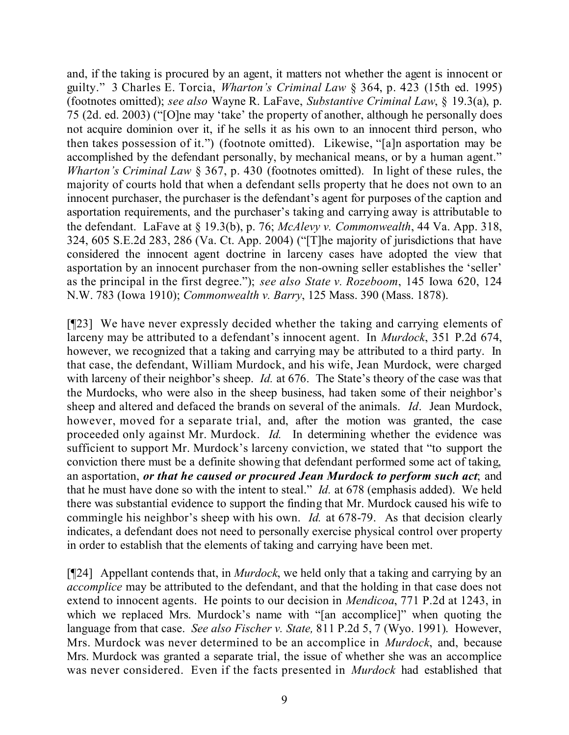and, if the taking is procured by an agent, it matters not whether the agent is innocent or guilty." 3 Charles E. Torcia, *Wharton's Criminal Law* § 364, p. 423 (15th ed. 1995) (footnotes omitted); *see also* Wayne R. LaFave, *Substantive Criminal Law*, § 19.3(a), p. 75 (2d. ed. 2003) ("[O]ne may 'take' the property of another, although he personally does not acquire dominion over it, if he sells it as his own to an innocent third person, who then takes possession of it.") (footnote omitted). Likewise, "[a]n asportation may be accomplished by the defendant personally, by mechanical means, or by a human agent." *Wharton's Criminal Law* § 367, p. 430 (footnotes omitted). In light of these rules, the majority of courts hold that when a defendant sells property that he does not own to an innocent purchaser, the purchaser is the defendant's agent for purposes of the caption and asportation requirements, and the purchaser's taking and carrying away is attributable to the defendant. LaFave at § 19.3(b), p. 76; *McAlevy v. Commonwealth*, 44 Va. App. 318, 324, 605 S.E.2d 283, 286 (Va. Ct. App. 2004) ("[T]he majority of jurisdictions that have considered the innocent agent doctrine in larceny cases have adopted the view that asportation by an innocent purchaser from the non-owning seller establishes the 'seller' as the principal in the first degree."); *see also State v. Rozeboom*, 145 Iowa 620, 124 N.W. 783 (Iowa 1910); *Commonwealth v. Barry*, 125 Mass. 390 (Mass. 1878).

[¶23] We have never expressly decided whether the taking and carrying elements of larceny may be attributed to a defendant's innocent agent. In *Murdock*, 351 P.2d 674, however, we recognized that a taking and carrying may be attributed to a third party. In that case, the defendant, William Murdock, and his wife, Jean Murdock, were charged with larceny of their neighbor's sheep. *Id.* at 676. The State's theory of the case was that the Murdocks, who were also in the sheep business, had taken some of their neighbor's sheep and altered and defaced the brands on several of the animals. *Id*. Jean Murdock, however, moved for a separate trial, and, after the motion was granted, the case proceeded only against Mr. Murdock. *Id.* In determining whether the evidence was sufficient to support Mr. Murdock's larceny conviction, we stated that "to support the conviction there must be a definite showing that defendant performed some act of taking, an asportation, *or that he caused or procured Jean Murdock to perform such act*; and that he must have done so with the intent to steal." *Id.* at 678 (emphasis added). We held there was substantial evidence to support the finding that Mr. Murdock caused his wife to commingle his neighbor's sheep with his own. *Id.* at 678-79. As that decision clearly indicates, a defendant does not need to personally exercise physical control over property in order to establish that the elements of taking and carrying have been met.

[¶24] Appellant contends that, in *Murdock*, we held only that a taking and carrying by an *accomplice* may be attributed to the defendant, and that the holding in that case does not extend to innocent agents. He points to our decision in *Mendicoa*, 771 P.2d at 1243, in which we replaced Mrs. Murdock's name with "[an accomplice]" when quoting the language from that case. *See also Fischer v. State,* 811 P.2d 5, 7 (Wyo. 1991). However, Mrs. Murdock was never determined to be an accomplice in *Murdock*, and, because Mrs. Murdock was granted a separate trial, the issue of whether she was an accomplice was never considered. Even if the facts presented in *Murdock* had established that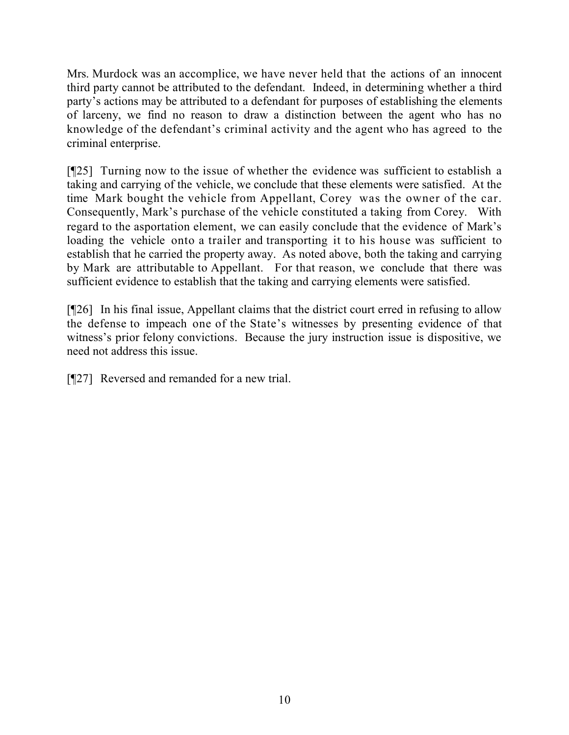Mrs. Murdock was an accomplice, we have never held that the actions of an innocent third party cannot be attributed to the defendant. Indeed, in determining whether a third party's actions may be attributed to a defendant for purposes of establishing the elements of larceny, we find no reason to draw a distinction between the agent who has no knowledge of the defendant's criminal activity and the agent who has agreed to the criminal enterprise.

[¶25] Turning now to the issue of whether the evidence was sufficient to establish a taking and carrying of the vehicle, we conclude that these elements were satisfied. At the time Mark bought the vehicle from Appellant, Corey was the owner of the car. Consequently, Mark's purchase of the vehicle constituted a taking from Corey. With regard to the asportation element, we can easily conclude that the evidence of Mark's loading the vehicle onto a trailer and transporting it to his house was sufficient to establish that he carried the property away. As noted above, both the taking and carrying by Mark are attributable to Appellant. For that reason, we conclude that there was sufficient evidence to establish that the taking and carrying elements were satisfied.

[¶26] In his final issue, Appellant claims that the district court erred in refusing to allow the defense to impeach one of the State's witnesses by presenting evidence of that witness's prior felony convictions. Because the jury instruction issue is dispositive, we need not address this issue.

[¶27] Reversed and remanded for a new trial.